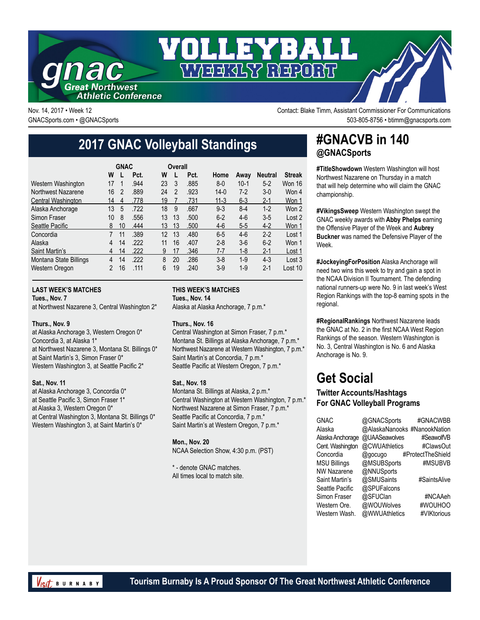

Nov. 14, 2017 • Week 12 **Nov. 14, 2017 • Week 12** Contact: Blake Timm, Assistant Commissioner For Communications GNACSports.com • @GNACSports 503-805-8756 • btimm@gnacsports.com

## **2017 GNAC Volleyball Standings**

|                           | <b>GNAC</b>    |    |      |    | Overall        |      |          |         |                |               |
|---------------------------|----------------|----|------|----|----------------|------|----------|---------|----------------|---------------|
|                           | W              |    | Pct. | W  |                | Pct. | Home     | Awav    | <b>Neutral</b> | <b>Streak</b> |
| Western Washington        | 17             | 1  | .944 | 23 | 3              | .885 | $8 - 0$  | $10-1$  | $5 - 2$        | Won 16        |
| Northwest Nazarene        | 16             | 2  | .889 | 24 | $\mathfrak{p}$ | .923 | $14-0$   | $7-2$   | $3-0$          | Won 4         |
| <b>Central Washington</b> | 14             | 4  | .778 | 19 |                | .731 | $11 - 3$ | $6 - 3$ | 2-1            | Won 1         |
| Alaska Anchorage          | 13             | 5  | .722 | 18 | 9              | .667 | $9 - 3$  | $8-4$   | $1-2$          | Won 2         |
| Simon Fraser              | 10             | 8  | .556 | 13 | 13             | .500 | $6 - 2$  | $4-6$   | $3-5$          | Lost 2        |
| Seattle Pacific           | 8              | 10 | .444 | 13 | 13             | .500 | $4-6$    | $5-5$   | $4-2$          | Won 1         |
| Concordia                 | 7              | 11 | .389 | 12 | 13             | .480 | $6-5$    | $4-6$   | $2 - 2$        | Lost 1        |
| Alaska                    | 4              | 14 | .222 | 11 | 16             | .407 | $2 - 8$  | $3-6$   | $6 - 2$        | Won 1         |
| Saint Martin's            | 4              | 14 | .222 | 9  | 17             | .346 | 7-7      | $1 - 8$ | $2 - 1$        | Lost 1        |
| Montana State Billings    | 4              | 14 | .222 | 8  | 20             | .286 | $3-8$    | $1-9$   | $4 - 3$        | Lost 3        |
| Western Oregon            | $\mathfrak{p}$ | 16 | .111 | 6  | 19             | .240 | $3-9$    | $1-9$   | $2 - 1$        | Lost 10       |

#### **LAST WEEK'S MATCHES**

**Tues., Nov. 7**

at Northwest Nazarene 3, Central Washington 2\*

#### **Thurs., Nov. 9**

at Alaska Anchorage 3, Western Oregon 0\* Concordia 3, at Alaska 1\* at Northwest Nazarene 3, Montana St. Billings 0\* at Saint Martin's 3, Simon Fraser 0\* Western Washington 3, at Seattle Pacific 2\*

#### **Sat., Nov. 11**

at Alaska Anchorage 3, Concordia 0\* at Seattle Pacific 3, Simon Fraser 1\* at Alaska 3, Western Oregon 0\* at Central Washington 3, Montana St. Billings 0\* Western Washington 3, at Saint Martin's 0\*

#### **THIS WEEK'S MATCHES**

**Tues., Nov. 14**

Alaska at Alaska Anchorage, 7 p.m.\*

#### **Thurs., Nov. 16**

Central Washington at Simon Fraser, 7 p.m.\* Montana St. Billings at Alaska Anchorage, 7 p.m.\* Northwest Nazarene at Western Washington, 7 p.m.\* Saint Martin's at Concordia, 7 p.m.\* Seattle Pacific at Western Oregon, 7 p.m.\*

#### **Sat., Nov. 18**

Montana St. Billings at Alaska, 2 p.m.\* Central Washington at Western Washington, 7 p.m.\* Northwest Nazarene at Simon Fraser, 7 p.m.\* Seattle Pacific at Concordia, 7 p.m.\* Saint Martin's at Western Oregon, 7 p.m.\*

**Mon., Nov. 20** NCAA Selection Show, 4:30 p.m. (PST)

\* - denote GNAC matches. All times local to match site.

### **#GNACVB in 140 @GNACSports**

**#TitleShowdown** Western Washington will host Northwest Nazarene on Thursday in a match that will help determine who will claim the GNAC championship.

**#VikingsSweep** Western Washington swept the GNAC weekly awards with **Abby Phelps** earning the Offensive Player of the Week and **Aubrey Buckner** was named the Defensive Player of the Week.

**#JockeyingForPosition** Alaska Anchorage will need two wins this week to try and gain a spot in the NCAA Division II Tournament. The defending national runners-up were No. 9 in last week's West Region Rankings with the top-8 earning spots in the regional.

**#RegionalRankings** Northwest Nazarene leads the GNAC at No. 2 in the first NCAA West Region Rankings of the season. Western Washington is No. 3, Central Washington is No. 6 and Alaska Anchorage is No. 9.

### **Get Social**

#### **Twitter Accounts/Hashtags For GNAC Volleyball Programs**

| @GNACSports   | #GNACWBB                     |
|---------------|------------------------------|
|               |                              |
| @UAASeawolves | #SeawolfVB                   |
| @CWUAthletics | #ClawsOut                    |
| @gocugo       | #ProtectTheShield            |
| @MSUBSports   | #MSUBVB                      |
| @NNUSports    |                              |
| @SMUSaints    | #SaintsAlive                 |
| @SPUFalcons   |                              |
| @SFUClan      | #NCAAeh                      |
| @WOUWolves    | #WOUHOO                      |
| @WWUAthletics | #VIKtorious                  |
|               | @AlaskaNanooks #NanookNation |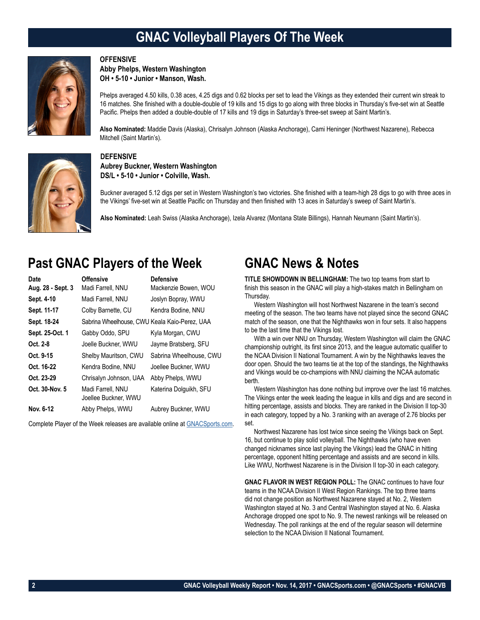## **GNAC Volleyball Players Of The Week**

#### **OFFENSIVE**

**Abby Phelps, Western Washington OH • 5-10 • Junior • Manson, Wash.**



Phelps averaged 4.50 kills, 0.38 aces, 4.25 digs and 0.62 blocks per set to lead the Vikings as they extended their current win streak to 16 matches. She finished with a double-double of 19 kills and 15 digs to go along with three blocks in Thursday's five-set win at Seattle Pacific. Phelps then added a double-double of 17 kills and 19 digs in Saturday's three-set sweep at Saint Martin's.

**Also Nominated:** Maddie Davis (Alaska), Chrisalyn Johnson (Alaska Anchorage), Cami Heninger (Northwest Nazarene), Rebecca Mitchell (Saint Martin's).



### **DEFENSIVE**

**Aubrey Buckner, Western Washington DS/L • 5-10 • Junior • Colville, Wash.**

Buckner averaged 5.12 digs per set in Western Washington's two victories. She finished with a team-high 28 digs to go with three aces in the Vikings' five-set win at Seattle Pacific on Thursday and then finished with 13 aces in Saturday's sweep of Saint Martin's.

**Also Nominated:** Leah Swiss (Alaska Anchorage), Izela Alvarez (Montana State Billings), Hannah Neumann (Saint Martin's).

### **Past GNAC Players of the Week**

| Date              | <b>Offensive</b>                              | <b>Defensive</b>        |
|-------------------|-----------------------------------------------|-------------------------|
| Aug. 28 - Sept. 3 | Madi Farrell, NNU                             | Mackenzie Bowen, WOU    |
| Sept. 4-10        | Madi Farrell, NNU                             | Joslyn Bopray, WWU      |
| Sept. 11-17       | Colby Barnette, CU                            | Kendra Bodine, NNU      |
| Sept. 18-24       | Sabrina Wheelhouse, CWU Keala Kaio-Perez, UAA |                         |
| Sept. 25-Oct. 1   | Gabby Oddo, SPU                               | Kyla Morgan, CWU        |
| Oct. 2-8          | Joelle Buckner, WWU                           | Jayme Bratsberg, SFU    |
| Oct. 9-15         | Shelby Mauritson, CWU                         | Sabrina Wheelhouse, CWU |
| Oct. 16-22        | Kendra Bodine, NNU                            | Joellee Buckner, WWU    |
| Oct. 23-29        | Chrisalyn Johnson, UAA                        | Abby Phelps, WWU        |
| Oct. 30-Nov. 5    | Madi Farrell, NNU<br>Joellee Buckner, WWU     | Katerina Dolguikh, SFU  |
| Nov. 6-12         | Abby Phelps, WWU                              | Aubrey Buckner, WWU     |

Complete Player of the Week releases are available online at [GNACSports.com.](http://www.gnacsports.com/football/fbredlion/)

### **GNAC News & Notes**

**TITLE SHOWDOWN IN BELLINGHAM:** The two top teams from start to finish this season in the GNAC will play a high-stakes match in Bellingham on Thursday.

Western Washington will host Northwest Nazarene in the team's second meeting of the season. The two teams have not played since the second GNAC match of the season, one that the Nighthawks won in four sets. It also happens to be the last time that the Vikings lost.

With a win over NNU on Thursday, Western Washington will claim the GNAC championship outright, its first since 2013, and the league automatic qualifier to the NCAA Division II National Tournament. A win by the Nighthawks leaves the door open. Should the two teams tie at the top of the standings, the Nighthawks and Vikings would be co-champions with NNU claiming the NCAA automatic berth.

Western Washington has done nothing but improve over the last 16 matches. The Vikings enter the week leading the league in kills and digs and are second in hitting percentage, assists and blocks. They are ranked in the Division II top-30 in each category, topped by a No. 3 ranking with an average of 2.76 blocks per set.

Northwest Nazarene has lost twice since seeing the Vikings back on Sept. 16, but continue to play solid volleyball. The Nighthawks (who have even changed nicknames since last playing the Vikings) lead the GNAC in hitting percentage, opponent hitting percentage and assists and are second in kills. Like WWU, Northwest Nazarene is in the Division II top-30 in each category.

**GNAC FLAVOR IN WEST REGION POLL:** The GNAC continues to have four teams in the NCAA Division II West Region Rankings. The top three teams did not change position as Northwest Nazarene stayed at No. 2, Western Washington stayed at No. 3 and Central Washington stayed at No. 6. Alaska Anchorage dropped one spot to No. 9. The newest rankings will be released on Wednesday. The poll rankings at the end of the regular season will determine selection to the NCAA Division II National Tournament.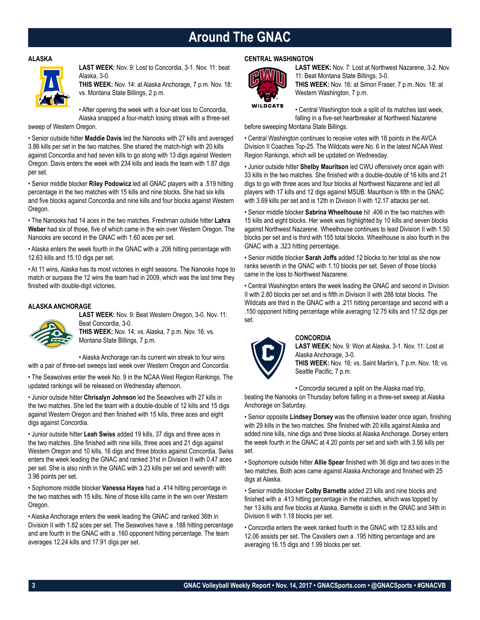### **Around The GNAC**

#### **ALASKA**



**LAST WEEK:** Nov. 9: Lost to Concordia, 3-1. Nov. 11: beat Alaska, 3-0.

**THIS WEEK:** Nov. 14: at Alaska Anchorage, 7 p.m. Nov. 18: vs. Montana State Billings, 2 p.m.

• After opening the week with a four-set loss to Concordia, Alaska snapped a four-match losing streak with a three-set

sweep of Western Oregon.

• Senior outside hitter **Maddie Davis** led the Nanooks with 27 kills and averaged 3.86 kills per set in the two matches. She shared the match-high with 20 kills against Concordia and had seven kills to go along with 13 digs against Western Oregon. Davis enters the week with 234 kills and leads the team with 1.87 digs per set.

• Senior middle blocker **Riley Podowicz** led all GNAC players with a .519 hitting percentage in the two matches with 15 kills and nine blocks. She had six kills and five blocks against Concordia and nine kills and four blocks against Western Oregon.

• The Nanooks had 14 aces in the two matches. Freshman outside hitter **Lahra Weber** had six of those, five of which came in the win over Western Oregon. The Nanooks are second in the GNAC with 1.60 aces per set.

• Alaska enters the week fourth in the GNAC with a .206 hitting percentage with 12.63 kills and 15.10 digs per set.

• At 11 wins, Alaska has its most victories in eight seasons. The Nanooks hope to match or surpass the 12 wins the team had in 2009, which was the last time they finished with double-digit victories.

#### **ALASKA ANCHORAGE**



**LAST WEEK:** Nov. 9: Beat Western Oregon, 3-0. Nov. 11: Beat Concordia, 3-0. **THIS WEEK:** Nov. 14: vs. Alaska, 7 p.m. Nov. 16: vs.

Montana State Billings, 7 p.m.

• Alaska Anchorage ran its current win streak to four wins with a pair of three-set sweeps last week over Western Oregon and Concordia.

• The Seawolves enter the week No. 9 in the NCAA West Region Rankings. The updated rankings will be released on Wednesday afternoon.

• Junior outside hitter **Chrisalyn Johnson** led the Seawolves with 27 kills in the two matches. She led the team with a double-double of 12 kills and 15 digs against Western Oregon and then finished with 15 kills, three aces and eight digs against Concordia.

• Junior outside hitter **Leah Swiss** added 19 kills, 37 digs and three aces in the two matches. She finished with nine kills, three aces and 21 digs against Western Oregon and 10 kills, 16 digs and three blocks against Concordia. Swiss enters the week leading the GNAC and ranked 31st in Division II with 0.47 aces per set. She is also ninth in the GNAC with 3.23 kills per set and seventh with 3.96 points per set.

• Sophomore middle blocker **Vanessa Hayes** had a .414 hitting percentage in the two matches with 15 kills. Nine of those kills came in the win over Western Oregon.

• Alaska Anchorage enters the week leading the GNAC and ranked 36th in Division II with 1.82 aces per set. The Seawolves have a .188 hitting percentage and are fourth in the GNAC with a .160 opponent hitting percentage. The team averages 12.24 kills and 17.91 digs per set.

#### **CENTRAL WASHINGTON**



**LAST WEEK:** Nov. 7: Lost at Northwest Nazarene, 3-2. Nov. 11: Beat Montana State Billings, 3-0. **THIS WEEK:** Nov. 16: at Simon Fraser, 7 p.m. Nov. 18: at Western Washington, 7 p.m.

**WILDCATS** 

• Central Washington took a split of its matches last week, falling in a five-set heartbreaker at Northwest Nazarene

before sweeping Montana State Billings.

• Central Washington continues to receive votes with 18 points in the AVCA Division II Coaches Top-25. The Wildcats were No. 6 in the latest NCAA West Region Rankings, which will be updated on Wednesday.

• Junior outside hitter **Shelby Mauritson** led CWU offensively once again with 33 kills in the two matches. She finished with a double-double of 16 kills and 21 digs to go with three aces and four blocks at Northwest Nazarene and led all players with 17 kills and 12 digs against MSUB. Mauritson is fifth in the GNAC with 3.69 kills per set and is 12th in Division II with 12.17 attacks per set.

• Senior middle blocker **Sabrina Wheelhouse** hit .406 in the two matches with 15 kills and eight blocks. Her week was highlighted by 10 kills and seven blocks against Northwest Nazarene. Wheelhouse continues to lead Division II with 1.50 blocks per set and is third with 155 total blocks. Wheelhouse is also fourth in the GNAC with a .323 hitting percentage.

• Senior middle blocker **Sarah Joffs** added 12 blocks to her total as she now ranks seventh in the GNAC with 1.10 blocks per set. Seven of those blocks came in the loss to Northwest Nazarene.

• Central Washington enters the week leading the GNAC and second in Division II with 2.80 blocks per set and is fifth in Division II with 288 total blocks. The Wildcats are third in the GNAC with a .211 hitting percentage and second with a .150 opponent hitting percentage while averaging 12.75 kills and 17.52 digs per set.



#### **CONCORDIA**

**LAST WEEK:** Nov. 9: Won at Alaska, 3-1. Nov. 11: Lost at Alaska Anchorage, 3-0. **THIS WEEK:** Nov. 16: vs. Saint Martin's, 7 p.m. Nov. 18: vs. Seattle Pacific, 7 p.m.

• Concordia secured a split on the Alaska road trip,

beating the Nanooks on Thursday before falling in a three-set sweep at Alaska Anchorage on Saturday.

• Senior opposite **Lindsey Dorsey** was the offensive leader once again, finishing with 29 kills in the two matches. She finished with 20 kills against Alaska and added nine kills, nine digs and three blocks at Alaska Anchorage. Dorsey enters the week fourth in the GNAC at 4.20 points per set and sixth with 3.56 kills per set.

• Sophomore outside hitter **Allie Spear** finished with 36 digs and two aces in the two matches. Both aces came against Alaska Anchorage and finished with 25 digs at Alaska.

• Senior middle blocker **Colby Barnette** added 23 kills and nine blocks and finished with a .413 hitting percentage in the matches, which was topped by her 13 kills and five blocks at Alaska. Barnette is sixth in the GNAC and 34th in Division II with 1.18 blocks per set.

• Concordia enters the week ranked fourth in the GNAC with 12.83 kills and 12.06 assists per set. The Cavaliers own a .195 hitting percentage and are averaging 16.15 digs and 1.99 blocks per set.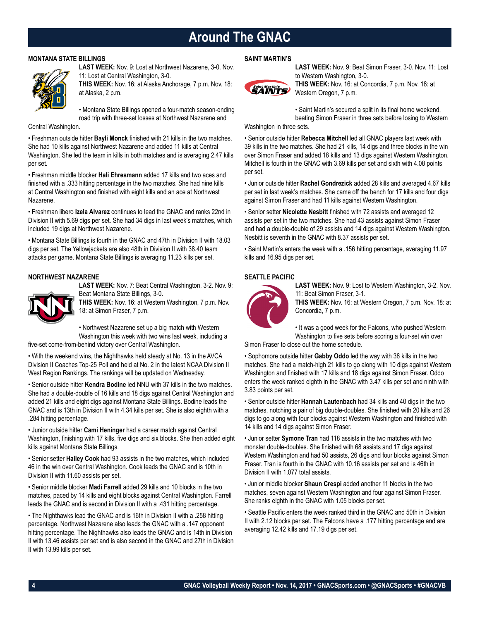### **Around The GNAC**

#### **MONTANA STATE BILLINGS**



**LAST WEEK:** Nov. 9: Lost at Northwest Nazarene, 3-0. Nov. 11: Lost at Central Washington, 3-0.

**THIS WEEK:** Nov. 16: at Alaska Anchorage, 7 p.m. Nov. 18: at Alaska, 2 p.m.

• Montana State Billings opened a four-match season-ending road trip with three-set losses at Northwest Nazarene and

Central Washington.

• Freshman outside hitter **Bayli Monck** finished with 21 kills in the two matches. She had 10 kills against Northwest Nazarene and added 11 kills at Central Washington. She led the team in kills in both matches and is averaging 2.47 kills per set.

• Freshman middle blocker **Hali Ehresmann** added 17 kills and two aces and finished with a .333 hitting percentage in the two matches. She had nine kills at Central Washington and finished with eight kills and an ace at Northwest Nazarene.

• Freshman libero **Izela Alvarez** continues to lead the GNAC and ranks 22nd in Division II with 5.69 digs per set. She had 34 digs in last week's matches, which included 19 digs at Northwest Nazarene.

• Montana State Billings is fourth in the GNAC and 47th in Division II with 18.03 digs per set. The Yellowjackets are also 48th in Division II with 38.40 team attacks per game. Montana State Billings is averaging 11.23 kills per set.

#### **NORTHWEST NAZARENE**

**LAST WEEK:** Nov. 7: Beat Central Washington, 3-2. Nov. 9: Beat Montana State Billings, 3-0.



**THIS WEEK:** Nov. 16: at Western Washington, 7 p.m. Nov. 18: at Simon Fraser, 7 p.m.

• Northwest Nazarene set up a big match with Western Washington this week with two wins last week, including a

five-set come-from-behind victory over Central Washington.

• With the weekend wins, the Nighthawks held steady at No. 13 in the AVCA Division II Coaches Top-25 Poll and held at No. 2 in the latest NCAA Division II West Region Rankings. The rankings will be updated on Wednesday.

• Senior outside hitter **Kendra Bodine** led NNU with 37 kills in the two matches. She had a double-double of 16 kills and 18 digs against Central Washington and added 21 kills and eight digs against Montana State Billings. Bodine leads the GNAC and is 13th in Division II with 4.34 kills per set. She is also eighth with a .284 hitting percentage.

• Junior outside hitter **Cami Heninger** had a career match against Central Washington, finishing with 17 kills, five digs and six blocks. She then added eight kills against Montana State Billings.

• Senior setter **Hailey Cook** had 93 assists in the two matches, which included 46 in the win over Central Washington. Cook leads the GNAC and is 10th in Division II with 11.60 assists per set.

• Senior middle blocker **Madi Farrell** added 29 kills and 10 blocks in the two matches, paced by 14 kills and eight blocks against Central Washington. Farrell leads the GNAC and is second in Division II with a .431 hitting percentage.

• The Nighthawks lead the GNAC and is 16th in Division II with a .258 hitting percentage. Northwest Nazarene also leads the GNAC with a .147 opponent hitting percentage. The Nighthawks also leads the GNAC and is 14th in Division II with 13.46 assists per set and is also second in the GNAC and 27th in Division II with 13.99 kills per set.

#### **SAINT MARTIN'S**



**LAST WEEK:** Nov. 9: Beat Simon Fraser, 3-0. Nov. 11: Lost to Western Washington, 3-0.

**THIS WEEK:** Nov. 16: at Concordia, 7 p.m. Nov. 18: at Western Oregon, 7 p.m.

• Saint Martin's secured a split in its final home weekend, beating Simon Fraser in three sets before losing to Western

#### Washington in three sets.

• Senior outside hitter **Rebecca Mitchell** led all GNAC players last week with 39 kills in the two matches. She had 21 kills, 14 digs and three blocks in the win over Simon Fraser and added 18 kills and 13 digs against Western Washington. Mitchell is fourth in the GNAC with 3.69 kills per set and sixth with 4.08 points per set.

• Junior outside hitter **Rachel Gondrezick** added 28 kills and averaged 4.67 kills per set in last week's matches. She came off the bench for 17 kills and four digs against Simon Fraser and had 11 kills against Western Washington.

• Senior setter **Nicolette Nesbitt** finished with 72 assists and averaged 12 assists per set in the two matches. She had 43 assists against Simon Fraser and had a double-double of 29 assists and 14 digs against Western Washington. Nesbitt is seventh in the GNAC with 8.37 assists per set.

• Saint Martin's enters the week with a .156 hitting percentage, averaging 11.97 kills and 16.95 digs per set.

#### **SEATTLE PACIFIC**



**LAST WEEK:** Nov. 9: Lost to Western Washington, 3-2. Nov. 11: Beat Simon Fraser, 3-1.

**THIS WEEK:** Nov. 16: at Western Oregon, 7 p.m. Nov. 18: at Concordia, 7 p.m.

• It was a good week for the Falcons, who pushed Western Washington to five sets before scoring a four-set win over

Simon Fraser to close out the home schedule.

• Sophomore outside hitter **Gabby Oddo** led the way with 38 kills in the two matches. She had a match-high 21 kills to go along with 10 digs against Western Washington and finished with 17 kills and 18 digs against Simon Fraser. Oddo enters the week ranked eighth in the GNAC with 3.47 kills per set and ninth with 3.83 points per set.

• Senior outside hitter **Hannah Lautenbach** had 34 kills and 40 digs in the two matches, notching a pair of big double-doubles. She finished with 20 kills and 26 digs to go along with four blocks against Western Washington and finished with 14 kills and 14 digs against Simon Fraser.

• Junior setter **Symone Tran** had 118 assists in the two matches with two monster double-doubles. She finished with 68 assists and 17 digs against Western Washington and had 50 assists, 26 digs and four blocks against Simon Fraser. Tran is fourth in the GNAC with 10.16 assists per set and is 46th in Division II with 1,077 total assists.

• Junior middle blocker **Shaun Crespi** added another 11 blocks in the two matches, seven against Western Washington and four against Simon Fraser. She ranks eighth in the GNAC with 1.05 blocks per set.

• Seattle Pacific enters the week ranked third in the GNAC and 50th in Division II with 2.12 blocks per set. The Falcons have a .177 hitting percentage and are averaging 12.42 kills and 17.19 digs per set.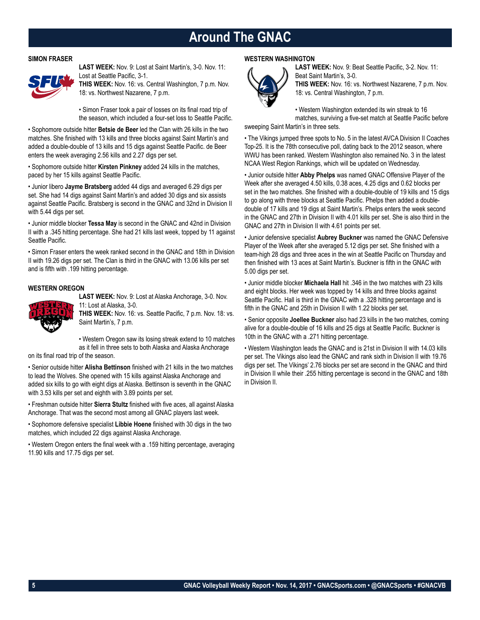### **Around The GNAC**

#### **SIMON FRASER**



**LAST WEEK:** Nov. 9: Lost at Saint Martin's, 3-0. Nov. 11: Lost at Seattle Pacific, 3-1.

**THIS WEEK:** Nov. 16: vs. Central Washington, 7 p.m. Nov. 18: vs. Northwest Nazarene, 7 p.m.

• Simon Fraser took a pair of losses on its final road trip of the season, which included a four-set loss to Seattle Pacific.

• Sophomore outside hitter **Betsie de Beer** led the Clan with 26 kills in the two matches. She finished with 13 kills and three blocks against Saint Martin's and added a double-double of 13 kills and 15 digs against Seattle Pacific. de Beer enters the week averaging 2.56 kills and 2.27 digs per set.

• Sophomore outside hitter **Kirsten Pinkney** added 24 kills in the matches, paced by her 15 kills against Seattle Pacific.

• Junior libero **Jayme Bratsberg** added 44 digs and averaged 6.29 digs per set. She had 14 digs against Saint Martin's and added 30 digs and six assists against Seattle Pacific. Bratsberg is second in the GNAC and 32nd in Division II with 5.44 digs per set.

• Junior middle blocker **Tessa May** is second in the GNAC and 42nd in Division II with a .345 hitting percentage. She had 21 kills last week, topped by 11 against Seattle Pacific.

• Simon Fraser enters the week ranked second in the GNAC and 18th in Division II with 19.26 digs per set. The Clan is third in the GNAC with 13.06 kills per set and is fifth with .199 hitting percentage.

#### **WESTERN OREGON**



**LAST WEEK:** Nov. 9: Lost at Alaska Anchorage, 3-0. Nov. 11: Lost at Alaska, 3-0.

**THIS WEEK:** Nov. 16: vs. Seattle Pacific, 7 p.m. Nov. 18: vs. Saint Martin's, 7 p.m.

• Western Oregon saw its losing streak extend to 10 matches as it fell in three sets to both Alaska and Alaska Anchorage

on its final road trip of the season.

• Senior outside hitter **Alisha Bettinson** finished with 21 kills in the two matches to lead the Wolves. She opened with 15 kills against Alaska Anchorage and added six kills to go with eight digs at Alaska. Bettinson is seventh in the GNAC with 3.53 kills per set and eighth with 3.89 points per set.

• Freshman outside hitter **Sierra Stultz** finished with five aces, all against Alaska Anchorage. That was the second most among all GNAC players last week.

• Sophomore defensive specialist **Libbie Hoene** finished with 30 digs in the two matches, which included 22 digs against Alaska Anchorage.

• Western Oregon enters the final week with a .159 hitting percentage, averaging 11.90 kills and 17.75 digs per set.

#### **WESTERN WASHINGTON**



**LAST WEEK:** Nov. 9: Beat Seattle Pacific, 3-2. Nov. 11: Beat Saint Martin's, 3-0. **THIS WEEK:** Nov. 16: vs. Northwest Nazarene, 7 p.m. Nov.

• Western Washington extended its win streak to 16 matches, surviving a five-set match at Seattle Pacific before

#### sweeping Saint Martin's in three sets.

• The Vikings jumped three spots to No. 5 in the latest AVCA Division II Coaches Top-25. It is the 78th consecutive poll, dating back to the 2012 season, where WWU has been ranked. Western Washington also remained No. 3 in the latest NCAA West Region Rankings, which will be updated on Wednesday.

18: vs. Central Washington, 7 p.m.

• Junior outside hitter **Abby Phelps** was named GNAC Offensive Player of the Week after she averaged 4.50 kills, 0.38 aces, 4.25 digs and 0.62 blocks per set in the two matches. She finished with a double-double of 19 kills and 15 digs to go along with three blocks at Seattle Pacific. Phelps then added a doubledouble of 17 kills and 19 digs at Saint Martin's. Phelps enters the week second in the GNAC and 27th in Division II with 4.01 kills per set. She is also third in the GNAC and 27th in Division II with 4.61 points per set.

• Junior defensive specialist **Aubrey Buckner** was named the GNAC Defensive Player of the Week after she averaged 5.12 digs per set. She finished with a team-high 28 digs and three aces in the win at Seattle Pacific on Thursday and then finished with 13 aces at Saint Martin's. Buckner is fifth in the GNAC with 5.00 digs per set.

• Junior middle blocker **Michaela Hall** hit .346 in the two matches with 23 kills and eight blocks. Her week was topped by 14 kills and three blocks against Seattle Pacific. Hall is third in the GNAC with a .328 hitting percentage and is fifth in the GNAC and 25th in Division II with 1.22 blocks per set.

• Senior opposite **Joellee Buckner** also had 23 kills in the two matches, coming alive for a double-double of 16 kills and 25 digs at Seattle Pacific. Buckner is 10th in the GNAC with a .271 hitting percentage.

• Western Washington leads the GNAC and is 21st in Division II with 14.03 kills per set. The Vikings also lead the GNAC and rank sixth in Division II with 19.76 digs per set. The Vikings' 2.76 blocks per set are second in the GNAC and third in Division II while their .255 hitting percentage is second in the GNAC and 18th in Division II.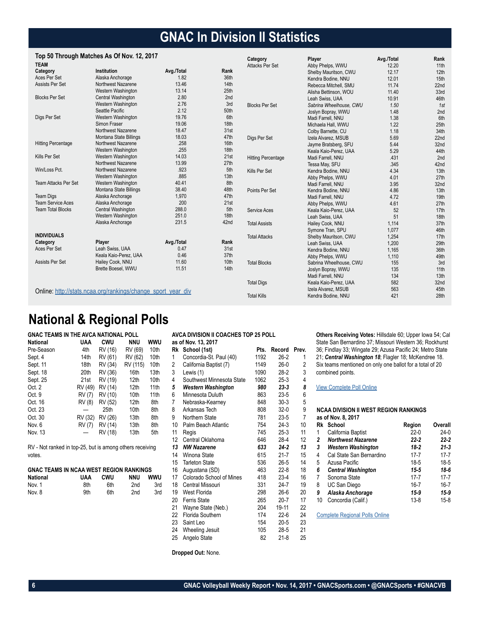### **GNAC In Division II Statistics**

#### **Top 50 Through Matches As Of Nov. 12, 2017**

|                             | TOD JU THIUUGHI MALGHES AS UI NOV. IZ, ZUTT                  |            |      | Category                  | Player                  | Avg./Total | Rank             |
|-----------------------------|--------------------------------------------------------------|------------|------|---------------------------|-------------------------|------------|------------------|
| <b>TEAM</b>                 |                                                              |            |      | Attacks Per Set           | Abby Phelps, WWU        | 12.20      | 11th             |
| Category                    | Institution                                                  | Avg./Total | Rank |                           | Shelby Mauritson, CWU   | 12.17      | 12th             |
| Aces Per Set                | Alaska Anchorage                                             | 1.82       | 36th |                           | Kendra Bodine, NNU      | 12.01      | 15 <sub>th</sub> |
| Assists Per Set             | Northwest Nazarene                                           | 13.46      | 14th |                           | Rebecca Mitchell, SMU   | 11.74      | 22 <sub>nd</sub> |
|                             | Western Washington                                           | 13.14      | 25th |                           | Alisha Bettinson, WOU   | 11.40      | 33rd             |
| <b>Blocks Per Set</b>       | Central Washington                                           | 2.80       | 2nd  |                           | Leah Swiss, UAA         | 10.91      | 46th             |
|                             | Western Washington                                           | 2.76       | 3rd  | <b>Blocks Per Set</b>     | Sabrina Wheelhouse, CWU | 1.50       | 1st              |
|                             | Seattle Pacific                                              | 2.12       | 50th |                           | Joslyn Bopray, WWU      | 1.48       | 2nd              |
| Digs Per Set                | Western Washington                                           | 19.76      | 6th  |                           | Madi Farrell, NNU       | 1.38       | 6th              |
|                             | Simon Fraser                                                 | 19.06      | 18th |                           | Michaela Hall, WWU      | 1.22       | 25 <sub>th</sub> |
|                             | Northwest Nazarene                                           | 18.47      | 31st |                           | Colby Barnette, CU      | 1.18       | 34th             |
|                             | Montana State Billings                                       | 18.03      | 47th | Digs Per Set              | Izela Alvarez, MSUB     | 5.69       | 22 <sub>nd</sub> |
| <b>Hitting Percentage</b>   | Northwest Nazarene                                           | .258       | 16th |                           | Jayme Bratsberg, SFU    | 5.44       | 32nd             |
|                             | Western Washington                                           | .255       | 18th |                           | Keala Kaio-Perez, UAA   | 5.29       | 44th             |
| Kills Per Set               | Western Washington                                           | 14.03      | 21st | <b>Hitting Percentage</b> | Madi Farrell, NNU       | .431       | 2nd              |
|                             | Northwest Nazarene                                           | 13.99      | 27th |                           | Tessa May, SFU          | .345       | 42nd             |
| Win/Loss Pct.               | Northwest Nazarene                                           | .923       | 5th  | Kills Per Set             | Kendra Bodine, NNU      | 4.34       | 13 <sub>th</sub> |
|                             | Western Washington                                           | .885       | 13th |                           | Abby Phelps, WWU        | 4.01       | 27th             |
| <b>Team Attacks Per Set</b> | Western Washington                                           | 40.41      | 8th  |                           | Madi Farrell, NNU       | 3.95       | 32nd             |
|                             | Montana State Billings                                       | 38.40      | 48th | Points Per Set            | Kendra Bodine, NNU      | 4.86       | 13 <sub>th</sub> |
| <b>Team Digs</b>            | Alaska Anchorage                                             | 1,970      | 47th |                           | Madi Farrell, NNU       | 4.72       | 19th             |
| <b>Team Service Aces</b>    | Alaska Anchorage                                             | 200        | 21st |                           | Abby Phelps, WWU        | 4.61       | 27th             |
| <b>Team Total Blocks</b>    | Central Washington                                           | 288.0      | 5th  | Service Aces              | Keala Kaio-Perez, UAA   | 52         | 17th             |
|                             | Western Washington                                           | 251.0      | 18th |                           | Leah Swiss, UAA         | 51         | 18th             |
|                             | Alaska Anchorage                                             | 231.5      | 42nd | <b>Total Assists</b>      | Hailey Cook, NNU        | 1.114      | 37th             |
|                             |                                                              |            |      |                           | Symone Tran, SPU        | 1.077      | 46th             |
| <b>INDIVIDUALS</b>          |                                                              |            |      | <b>Total Attacks</b>      | Shelby Mauritson, CWU   | 1,254      | 17th             |
| Category                    | Player                                                       | Avg./Total | Rank |                           | Leah Swiss, UAA         | 1,200      | 29th             |
| Aces Per Set                | Leah Swiss, UAA                                              | 0.47       | 31st |                           | Kendra Bodine, NNU      | 1.165      | 36th             |
|                             | Keala Kaio-Perez, UAA                                        | 0.46       | 37th |                           | Abby Phelps, WWU        | 1,110      | 49th             |
| Assists Per Set             | Hailey Cook, NNU                                             | 11.60      | 10th | <b>Total Blocks</b>       | Sabrina Wheelhouse, CWU | 155        | 3rd              |
|                             | Brette Boesel, WWU                                           | 11.51      | 14th |                           | Joslyn Bopray, WWU      | 135        | 11th             |
|                             |                                                              |            |      |                           | Madi Farrell, NNU       | 134        | 13 <sub>th</sub> |
|                             |                                                              |            |      | <b>Total Digs</b>         | Keala Kaio-Perez, UAA   | 582        | 32nd             |
|                             | Online: http://stats.ncaa.org/rankings/change_sport_year_div |            |      |                           | Izela Alvarez, MSUB     | 563        | 45th             |
|                             |                                                              |            |      | <b>Total Kills</b>        | Kendra Bodine, NNU      | 421        | 28th             |

### **National & Regional Polls**

| <b>GNAC TEAMS IN THE AVCA NATIONAL POLL</b> |         |         |                  |      |
|---------------------------------------------|---------|---------|------------------|------|
| <b>National</b>                             | UAA     | CWU     | NNU              | wwu  |
| Pre-Season                                  | 4th     | RV (16) | RV (69)          | 10th |
| Sept. 4                                     | 14th    | RV (61) | RV (62)          | 10th |
| Sept. 11                                    | 18th    | RV (34) | RV (115)         | 10th |
| Sept. 18                                    | 20th    | RV (36) | 16th             | 13th |
| Sept. 25                                    | 21st    | RV (19) | 12 <sub>th</sub> | 10th |
| Oct. 2                                      | RV (49) | RV (14) | 12 <sub>th</sub> | 11th |
| Oct. 9                                      | RV (7)  | RV (10) | 10th             | 11th |
| Oct. 16                                     | RV (8)  | RV (52) | 12 <sub>th</sub> | 8th  |
| Oct. 23                                     |         | 25th    | 10th             | 8th  |
| Oct. 30                                     | RV (32) | RV (26) | 13th             | 8th  |
| Nov. 6                                      | RV (7)  | RV (14) | 13th             | 8th  |
| Nov. 13                                     |         | RV (18) | 13th             | 5th  |

RV - Not ranked in top-25, but is among others receiving votes.

| <b>GNAC TEAMS IN NCAA WEST REGION RANKINGS</b> |     |     |     |     |
|------------------------------------------------|-----|-----|-----|-----|
| National                                       | UAA | CWU | NNU | wwu |
| Nov. 1                                         | 8th | 6th | 2nd | 3rd |
| Nov. 8                                         | 9th | 6th | 2nd | 3rd |

|    | as of Nov. 13, 2017       |      |          |                |
|----|---------------------------|------|----------|----------------|
| Rk | School (1st)              | Pts. | Record   | Prev.          |
| 1  | Concordia-St. Paul (40)   | 1192 | $26-2$   | 1              |
| 2  | California Baptist (7)    | 1149 | $26-0$   | $\overline{c}$ |
| 3  | Lewis (1)                 | 1090 | 28-2     | 3              |
| 4  | Southwest Minnesota State | 1062 | 25-3     | 4              |
| 5  | <b>Western Washington</b> | 980  | $23 - 3$ | 8              |
| 6  | Minnesota Duluth          | 863  | 23-5     | 6              |
| 7  | Nebraska-Kearney          | 848  | $30-3$   | 5              |
| 8  | Arkansas Tech             | 808  | $32-0$   | 9              |
| 9  | Northern State            | 781  | 23-5     | 7              |
| 10 | Palm Beach Atlantic       | 754  | 24-3     | 10             |
| 11 | Regis                     | 745  | 25-3     | 11             |
| 12 | Central Oklahoma          | 646  | 28-4     | 12             |
| 13 | <b>NW Nazarene</b>        | 633  | $24-2$   | 13             |
| 14 | Winona State              | 615  | 21-7     | 15             |
| 15 | <b>Tarleton State</b>     | 536  | $26 - 5$ | 14             |
| 16 | Augustana (SD)            | 463  | 22-8     | 18             |
| 17 | Colorado School of Mines  | 418  | $23 - 4$ | 16             |
| 18 | Central Missouri          | 331  | 24-7     | 19             |
| 19 | West Florida              | 298  | 26-6     | 20             |
| 20 | <b>Ferris State</b>       | 265  | $20 - 7$ | 17             |
| 21 | Wayne State (Neb.)        | 204  | 19-11    | 22             |
| 22 | Florida Southern          | 174  | 22-6     | 24             |
| 23 | Saint Leo                 | 154  | 20-5     | 23             |
| 24 | Wheeling Jesuit           | 105  | 28-5     | 21             |
| 25 | Angelo State              | 82   | $21-8$   | 25             |
|    | Dropped Out: None.        |      |          |                |

**AVCA DIVISION II COACHES TOP 25 POLL**

**Others Receiving Votes:** Hillsdale 60; Upper Iowa 54; Cal State San Bernardino 37; Missouri Western 36; Rockhurst 36; Findlay 33; Wingate 29; Azusa Pacific 24; Metro State 21; *Central Washington 18*; Flagler 18; McKendree 18. Six teams mentioned on only one ballot for a total of 20 combined points.

#### [View Complete Poll Online](https://www.avca.org/polls/dii-women/11-13-17.html)

#### **NCAA DIVISION II WEST REGION RANKINGS as of Nov. 8, 2017**

| Rk | School                    | Region   | Overall  |
|----|---------------------------|----------|----------|
| 1  | California Baptist        | $22-0$   | $24-0$   |
| 2  | <b>Northwest Nazarene</b> | $22 - 2$ | $22 - 2$ |
| 3  | <b>Western Washington</b> | $18 - 2$ | $21 - 3$ |
| 4  | Cal State San Bernardino  | $17 - 7$ | $17 - 7$ |
| 5  | Azusa Pacific             | $18-5$   | 18-5     |
| 6  | <b>Central Washington</b> | $15 - 5$ | 18-6     |
| 7  | Sonoma State              | $17 - 7$ | $17 - 7$ |
| 8  | UC San Diego              | $16 - 7$ | $16 - 7$ |
| 9  | Alaska Anchorage          | $15-9$   | $15-9$   |
| 10 | Concordia (Calif.)        | $13 - 8$ | $15-8$   |

[Complete Regional Polls Online](http://www.ncaa.com/rankings/volleyball-women/d2/regional-rankings)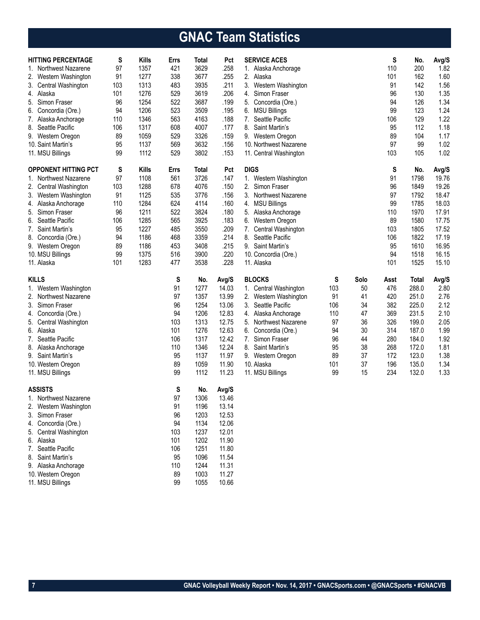## **GNAC Team Statistics**

| <b>HITTING PERCENTAGE</b>              | S   | <b>Kills</b> | Errs     | Total        | Pct            | <b>SERVICE ACES</b>      |     |      | S    | No.          | Avg/S |
|----------------------------------------|-----|--------------|----------|--------------|----------------|--------------------------|-----|------|------|--------------|-------|
| 1. Northwest Nazarene                  | 97  | 1357         | 421      | 3629         | .258           | 1. Alaska Anchorage      |     |      | 110  | 200          | 1.82  |
| 2. Western Washington                  | 91  | 1277         | 338      | 3677         | .255           | 2. Alaska                |     |      | 101  | 162          | 1.60  |
| 3. Central Washington                  | 103 | 1313         | 483      | 3935         | .211           | 3.<br>Western Washington |     |      | 91   | 142          | 1.56  |
| 4. Alaska                              | 101 | 1276         | 529      | 3619         | .206           | Simon Fraser<br>4.       |     |      | 96   | 130          | 1.35  |
| 5. Simon Fraser                        | 96  | 1254         | 522      | 3687         | .199           | 5. Concordia (Ore.)      |     |      | 94   | 126          | 1.34  |
| 6. Concordia (Ore.)                    | 94  | 1206         | 523      | 3509         | .195           | 6. MSU Billings          |     |      | 99   | 123          | 1.24  |
| 7. Alaska Anchorage                    | 110 | 1346         | 563      | 4163         | .188           | Seattle Pacific<br>7.    |     |      | 106  | 129          | 1.22  |
| 8.<br>Seattle Pacific                  | 106 | 1317         | 608      | 4007         | .177           | 8.<br>Saint Martin's     |     |      | 95   | 112          | 1.18  |
| 9. Western Oregon                      | 89  | 1059         | 529      | 3326         | .159           | 9. Western Oregon        |     |      | 89   | 104          | 1.17  |
| 10. Saint Martin's                     | 95  | 1137         | 569      | 3632         | .156           | 10. Northwest Nazarene   |     |      | 97   | 99           | 1.02  |
| 11. MSU Billings                       | 99  | 1112         | 529      | 3802         | .153           | 11. Central Washington   |     |      | 103  | 105          | 1.02  |
| <b>OPPONENT HITTING PCT</b>            | S   | <b>Kills</b> | Errs     | Total        | Pct            | <b>DIGS</b>              |     |      | S    | No.          | Avg/S |
| 1. Northwest Nazarene                  | 97  | 1108         | 561      | 3726         | .147           | Western Washington<br>1. |     |      | 91   | 1798         | 19.76 |
| 2. Central Washington                  | 103 | 1288         | 678      | 4076         | .150           | 2. Simon Fraser          |     |      | 96   | 1849         | 19.26 |
| 3. Western Washington                  | 91  | 1125         | 535      | 3776         | .156           | 3. Northwest Nazarene    |     |      | 97   | 1792         | 18.47 |
| 4. Alaska Anchorage                    | 110 | 1284         | 624      | 4114         | .160           | 4. MSU Billings          |     |      | 99   | 1785         | 18.03 |
| 5. Simon Fraser                        | 96  | 1211         | 522      | 3824         | .180           | 5.<br>Alaska Anchorage   |     |      | 110  | 1970         | 17.91 |
| 6. Seattle Pacific                     | 106 | 1285         | 565      | 3925         | .183           | 6.<br>Western Oregon     |     |      | 89   | 1580         | 17.75 |
| 7. Saint Martin's                      | 95  | 1227         | 485      | 3550         | .209           | 7. Central Washington    |     |      | 103  | 1805         | 17.52 |
| 8. Concordia (Ore.)                    | 94  | 1186         | 468      | 3359         | .214           | 8. Seattle Pacific       |     |      | 106  | 1822         | 17.19 |
| 9. Western Oregon                      | 89  | 1186         | 453      | 3408         | .215           | 9. Saint Martin's        |     |      | 95   | 1610         | 16.95 |
| 10. MSU Billings                       | 99  | 1375         | 516      | 3900         | .220           | 10. Concordia (Ore.)     |     |      | 94   | 1518         | 16.15 |
| 11. Alaska                             | 101 | 1283         | 477      | 3538         | .228           | 11. Alaska               |     |      | 101  | 1525         | 15.10 |
| <b>KILLS</b>                           |     |              | S        | No.          | Avg/S          | <b>BLOCKS</b>            | S   | Solo | Asst | <b>Total</b> | Avg/S |
|                                        |     |              |          | 1277         | 14.03          |                          |     |      | 476  | 288.0        | 2.80  |
| 1. Western Washington                  |     |              | 91       |              |                | 1. Central Washington    | 103 | 50   |      |              |       |
| 2. Northwest Nazarene                  |     |              | 97       | 1357         | 13.99          | 2.<br>Western Washington | 91  | 41   | 420  | 251.0        | 2.76  |
| 3. Simon Fraser                        |     |              | 96       | 1254         | 13.06          | 3.<br>Seattle Pacific    | 106 | 34   | 382  | 225.0        | 2.12  |
| 4. Concordia (Ore.)                    |     |              | 94       | 1206         | 12.83          | 4. Alaska Anchorage      | 110 | 47   | 369  | 231.5        | 2.10  |
| 5. Central Washington                  |     |              | 103      | 1313         | 12.75          | 5. Northwest Nazarene    | 97  | 36   | 326  | 199.0        | 2.05  |
| 6. Alaska                              |     |              | 101      | 1276         | 12.63          | Concordia (Ore.)<br>6.   | 94  | 30   | 314  | 187.0        | 1.99  |
| Seattle Pacific<br>7.                  |     |              | 106      | 1317         | 12.42          | 7. Simon Fraser          | 96  | 44   | 280  | 184.0        | 1.92  |
| 8. Alaska Anchorage                    |     |              | 110      | 1346         | 12.24          | 8. Saint Martin's        | 95  | 38   | 268  | 172.0        | 1.81  |
| 9. Saint Martin's                      |     |              | 95       | 1137         | 11.97          | 9. Western Oregon        | 89  | 37   | 172  | 123.0        | 1.38  |
| 10. Western Oregon                     |     |              | 89       | 1059         | 11.90          | 10. Alaska               | 101 | 37   | 196  | 135.0        | 1.34  |
| 11. MSU Billings                       |     |              | 99       | 1112         | 11.23          | 11. MSU Billings         | 99  | 15   | 234  | 132.0        | 1.33  |
| <b>ASSISTS</b>                         |     |              | S        | No.          | Avg/S          |                          |     |      |      |              |       |
| 1. Northwest Nazarene                  |     |              | 97       | 1306         | 13.46          |                          |     |      |      |              |       |
| 2.<br>Western Washington               |     |              | 91       | 1196         | 13.14          |                          |     |      |      |              |       |
| 3.<br>Simon Fraser                     |     |              | 96       | 1203         | 12.53          |                          |     |      |      |              |       |
| Concordia (Ore.)<br>4.                 |     |              | 94       | 1134         | 12.06          |                          |     |      |      |              |       |
| 5.<br>Central Washington               |     |              | 103      | 1237         | 12.01          |                          |     |      |      |              |       |
| 6. Alaska                              |     |              | 101      | 1202         | 11.90          |                          |     |      |      |              |       |
| 7. Seattle Pacific                     |     |              | 106      | 1251         | 11.80          |                          |     |      |      |              |       |
| Saint Martin's<br>8.                   |     |              | 95       | 1096         | 11.54          |                          |     |      |      |              |       |
| 9. Alaska Anchorage                    |     |              | 110      | 1244         | 11.31          |                          |     |      |      |              |       |
| 10. Western Oregon<br>11. MSU Billings |     |              | 89<br>99 | 1003<br>1055 | 11.27<br>10.66 |                          |     |      |      |              |       |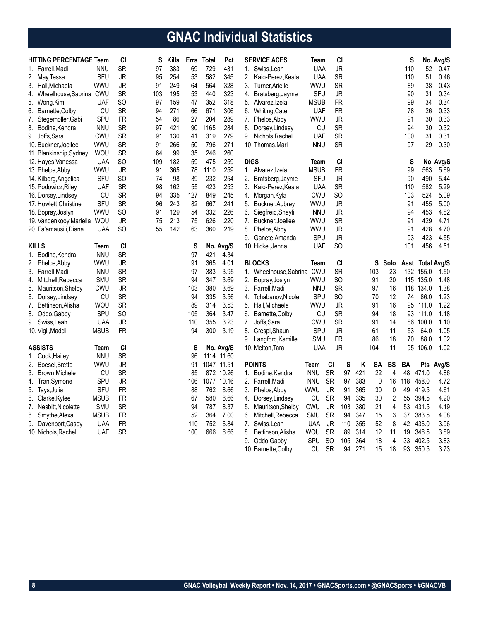## **GNAC Individual Statistics**

| No. Avg/S<br>.431<br><b>JR</b><br>SR<br>97<br>383<br>69<br>729<br><b>UAA</b><br>52<br>1. Farrell, Madi<br><b>NNU</b><br>1.<br>Swiss, Leah<br>110<br>SFU<br>254<br>582<br>.345<br><b>UAA</b><br><b>SR</b><br>51<br>JR<br>95<br>53<br>2.<br>Kaio-Perez, Keala<br>110<br>2. May, Tessa<br>249<br>564<br>.328<br><b>SR</b><br>38<br>WWU<br>JR<br>91<br>64<br>3.<br>WWU<br>89<br>3. Hall, Michaela<br>Turner, Arielle<br>440<br>.323<br>Wheelhouse, Sabrina CWU<br>SR<br>103<br>195<br>53<br>SFU<br>JR<br>90<br>31<br>4.<br>4. Bratsberg, Jayme<br>.318<br><b>FR</b><br><b>UAF</b><br>SO<br>97<br>159<br>47<br>352<br>5.<br><b>MSUB</b><br>99<br>34<br>5.<br>Alvarez, Izela<br>Wong, Kim<br><b>SR</b><br>271<br>.306<br><b>UAF</b><br><b>FR</b><br>78<br>26<br>CU<br>94<br>66<br>671<br>6.<br>6. Barnette, Colby<br>Whiting, Cate<br>SPU<br><b>FR</b><br>204<br>.289<br><b>JR</b><br>30<br>7. Stegemoller, Gabi<br>54<br>86<br>27<br>7.<br>Phelps, Abby<br><b>WWU</b><br>91<br>.284<br><b>SR</b><br>30<br>8. Bodine, Kendra<br><b>NNU</b><br>SR<br>97<br>421<br>90<br>1165<br>8.<br>CU<br>94<br>Dorsey, Lindsey<br>.279<br><b>SR</b><br>130<br>319<br><b>UAF</b><br><b>SR</b><br>100<br>31<br>9. Joffs, Sara<br><b>CWU</b><br>91<br>41<br>9. Nichols, Rachel<br>.271<br><b>SR</b><br>WWU<br>SR<br>91<br>266<br>50<br>796<br><b>NNU</b><br>97<br>29<br>10. Buckner, Joellee<br>10. Thomas, Mari<br>99<br>35<br>246<br>.260<br>11. Blankinship, Sydney<br><b>WOU</b><br>SR<br>64<br>.259<br>SO<br>109<br>182<br>59<br>475<br><b>DIGS</b><br><b>CI</b><br>S<br>12. Hayes, Vanessa<br>UAA<br>Team | 0.47<br>0.46<br>0.43<br>0.34<br>0.34<br>0.33<br>0.33<br>0.32<br>0.31<br>0.30<br>No. Avg/S |
|------------------------------------------------------------------------------------------------------------------------------------------------------------------------------------------------------------------------------------------------------------------------------------------------------------------------------------------------------------------------------------------------------------------------------------------------------------------------------------------------------------------------------------------------------------------------------------------------------------------------------------------------------------------------------------------------------------------------------------------------------------------------------------------------------------------------------------------------------------------------------------------------------------------------------------------------------------------------------------------------------------------------------------------------------------------------------------------------------------------------------------------------------------------------------------------------------------------------------------------------------------------------------------------------------------------------------------------------------------------------------------------------------------------------------------------------------------------------------------------------------------------------------------------------------------------------------------------|-------------------------------------------------------------------------------------------|
|                                                                                                                                                                                                                                                                                                                                                                                                                                                                                                                                                                                                                                                                                                                                                                                                                                                                                                                                                                                                                                                                                                                                                                                                                                                                                                                                                                                                                                                                                                                                                                                          |                                                                                           |
|                                                                                                                                                                                                                                                                                                                                                                                                                                                                                                                                                                                                                                                                                                                                                                                                                                                                                                                                                                                                                                                                                                                                                                                                                                                                                                                                                                                                                                                                                                                                                                                          |                                                                                           |
|                                                                                                                                                                                                                                                                                                                                                                                                                                                                                                                                                                                                                                                                                                                                                                                                                                                                                                                                                                                                                                                                                                                                                                                                                                                                                                                                                                                                                                                                                                                                                                                          |                                                                                           |
|                                                                                                                                                                                                                                                                                                                                                                                                                                                                                                                                                                                                                                                                                                                                                                                                                                                                                                                                                                                                                                                                                                                                                                                                                                                                                                                                                                                                                                                                                                                                                                                          |                                                                                           |
|                                                                                                                                                                                                                                                                                                                                                                                                                                                                                                                                                                                                                                                                                                                                                                                                                                                                                                                                                                                                                                                                                                                                                                                                                                                                                                                                                                                                                                                                                                                                                                                          |                                                                                           |
|                                                                                                                                                                                                                                                                                                                                                                                                                                                                                                                                                                                                                                                                                                                                                                                                                                                                                                                                                                                                                                                                                                                                                                                                                                                                                                                                                                                                                                                                                                                                                                                          |                                                                                           |
|                                                                                                                                                                                                                                                                                                                                                                                                                                                                                                                                                                                                                                                                                                                                                                                                                                                                                                                                                                                                                                                                                                                                                                                                                                                                                                                                                                                                                                                                                                                                                                                          |                                                                                           |
|                                                                                                                                                                                                                                                                                                                                                                                                                                                                                                                                                                                                                                                                                                                                                                                                                                                                                                                                                                                                                                                                                                                                                                                                                                                                                                                                                                                                                                                                                                                                                                                          |                                                                                           |
|                                                                                                                                                                                                                                                                                                                                                                                                                                                                                                                                                                                                                                                                                                                                                                                                                                                                                                                                                                                                                                                                                                                                                                                                                                                                                                                                                                                                                                                                                                                                                                                          |                                                                                           |
|                                                                                                                                                                                                                                                                                                                                                                                                                                                                                                                                                                                                                                                                                                                                                                                                                                                                                                                                                                                                                                                                                                                                                                                                                                                                                                                                                                                                                                                                                                                                                                                          |                                                                                           |
|                                                                                                                                                                                                                                                                                                                                                                                                                                                                                                                                                                                                                                                                                                                                                                                                                                                                                                                                                                                                                                                                                                                                                                                                                                                                                                                                                                                                                                                                                                                                                                                          |                                                                                           |
|                                                                                                                                                                                                                                                                                                                                                                                                                                                                                                                                                                                                                                                                                                                                                                                                                                                                                                                                                                                                                                                                                                                                                                                                                                                                                                                                                                                                                                                                                                                                                                                          |                                                                                           |
| 78<br>.259<br><b>FR</b><br>99<br>563<br>wwu<br>JR<br>91<br>365<br>1110<br>1. Alvarez, Izela<br><b>MSUB</b><br>13. Phelps, Abby                                                                                                                                                                                                                                                                                                                                                                                                                                                                                                                                                                                                                                                                                                                                                                                                                                                                                                                                                                                                                                                                                                                                                                                                                                                                                                                                                                                                                                                           | 5.69                                                                                      |
| .254<br>SFU<br>SO<br>98<br>39<br>232<br>SFU<br><b>JR</b><br>90<br>490<br>74<br>2. Bratsberg, Jayme<br>14. Kilberg, Angelica                                                                                                                                                                                                                                                                                                                                                                                                                                                                                                                                                                                                                                                                                                                                                                                                                                                                                                                                                                                                                                                                                                                                                                                                                                                                                                                                                                                                                                                              | 5.44                                                                                      |
| <b>SR</b><br>162<br>55<br>423<br>.253<br><b>SR</b><br>582<br>UAF<br>98<br>3.<br>Kaio-Perez, Keala<br><b>UAA</b><br>15. Podowicz, Riley<br>110                                                                                                                                                                                                                                                                                                                                                                                                                                                                                                                                                                                                                                                                                                                                                                                                                                                                                                                                                                                                                                                                                                                                                                                                                                                                                                                                                                                                                                            | 5.29                                                                                      |
| .245<br>524<br>CU<br>SR<br>94<br>335<br>127<br>849<br>Morgan, Kyla<br><b>CWU</b><br>SO<br>103<br>16. Dorsey, Lindsey<br>4.                                                                                                                                                                                                                                                                                                                                                                                                                                                                                                                                                                                                                                                                                                                                                                                                                                                                                                                                                                                                                                                                                                                                                                                                                                                                                                                                                                                                                                                               | 5.09                                                                                      |
| <b>SFU</b><br>.241<br>SR<br>96<br>243<br>82<br>667<br><b>WWU</b><br>JR<br>91<br>455<br>17. Howlett, Christine<br>5.<br>Buckner, Aubrey                                                                                                                                                                                                                                                                                                                                                                                                                                                                                                                                                                                                                                                                                                                                                                                                                                                                                                                                                                                                                                                                                                                                                                                                                                                                                                                                                                                                                                                   | 5.00                                                                                      |
| .226<br>453<br>129<br>54<br>332<br><b>JR</b><br>wwu<br>SO<br>91<br>6.<br>Siegfreid, Shayli<br><b>NNU</b><br>94<br>18. Bopray, Joslyn                                                                                                                                                                                                                                                                                                                                                                                                                                                                                                                                                                                                                                                                                                                                                                                                                                                                                                                                                                                                                                                                                                                                                                                                                                                                                                                                                                                                                                                     | 4.82                                                                                      |
| <b>JR</b><br>213<br>626<br>.220<br><b>WWU</b><br><b>SR</b><br>429<br>19. Vandenkooy, Mariella<br><b>WOU</b><br>75<br>75<br>7.<br>Buckner, Joellee<br>91                                                                                                                                                                                                                                                                                                                                                                                                                                                                                                                                                                                                                                                                                                                                                                                                                                                                                                                                                                                                                                                                                                                                                                                                                                                                                                                                                                                                                                  | 4.71                                                                                      |
| SO<br>55<br>142<br>360<br>.219<br>8.<br><b>JR</b><br>428<br>20. Fa'amausili, Diana<br><b>UAA</b><br>63<br>Phelps, Abby<br><b>WWU</b><br>91                                                                                                                                                                                                                                                                                                                                                                                                                                                                                                                                                                                                                                                                                                                                                                                                                                                                                                                                                                                                                                                                                                                                                                                                                                                                                                                                                                                                                                               | 4.70                                                                                      |
| SPU<br><b>JR</b><br>93<br>423<br>9.<br>Ganete, Amanda                                                                                                                                                                                                                                                                                                                                                                                                                                                                                                                                                                                                                                                                                                                                                                                                                                                                                                                                                                                                                                                                                                                                                                                                                                                                                                                                                                                                                                                                                                                                    | 4.55                                                                                      |
| <b>KILLS</b><br>CI<br>S<br><b>UAF</b><br><b>SO</b><br>456<br>Team<br>No. Avg/S<br>10. Hickel, Jenna<br>101                                                                                                                                                                                                                                                                                                                                                                                                                                                                                                                                                                                                                                                                                                                                                                                                                                                                                                                                                                                                                                                                                                                                                                                                                                                                                                                                                                                                                                                                               | 4.51                                                                                      |
| <b>NNU</b><br><b>SR</b><br>97<br>421<br>4.34<br>1. Bodine, Kendra                                                                                                                                                                                                                                                                                                                                                                                                                                                                                                                                                                                                                                                                                                                                                                                                                                                                                                                                                                                                                                                                                                                                                                                                                                                                                                                                                                                                                                                                                                                        |                                                                                           |
| C1<br>${\sf J}{\sf R}$<br>365<br>4.01<br><b>BLOCKS</b><br>S<br>2. Phelps, Abby<br>wwu<br>91<br>Team<br>Solo<br>Asst Total Avg/S                                                                                                                                                                                                                                                                                                                                                                                                                                                                                                                                                                                                                                                                                                                                                                                                                                                                                                                                                                                                                                                                                                                                                                                                                                                                                                                                                                                                                                                          |                                                                                           |
| <b>SR</b><br>3.95<br><b>SR</b><br>103<br>23<br>3. Farrell, Madi<br><b>NNU</b><br>97<br>383<br>1. Wheelhouse, Sabrina CWU<br>132<br>155.0                                                                                                                                                                                                                                                                                                                                                                                                                                                                                                                                                                                                                                                                                                                                                                                                                                                                                                                                                                                                                                                                                                                                                                                                                                                                                                                                                                                                                                                 | 1.50                                                                                      |
| <b>SR</b><br>94<br>347<br>3.69<br><b>SO</b><br>91<br>20<br>115 135.0<br>4. Mitchell, Rebecca<br><b>SMU</b><br>2.<br>wwu<br>Bopray, Joslyn                                                                                                                                                                                                                                                                                                                                                                                                                                                                                                                                                                                                                                                                                                                                                                                                                                                                                                                                                                                                                                                                                                                                                                                                                                                                                                                                                                                                                                                | 1.48                                                                                      |
| 380<br>3.69<br><b>SR</b><br>5. Mauritson, Shelby<br>CWU<br>JR<br>103<br>3.<br><b>NNU</b><br>97<br>16<br>118<br>134.0<br>Farrell, Madi                                                                                                                                                                                                                                                                                                                                                                                                                                                                                                                                                                                                                                                                                                                                                                                                                                                                                                                                                                                                                                                                                                                                                                                                                                                                                                                                                                                                                                                    | 1.38                                                                                      |
| CU<br><b>SR</b><br>94<br>335<br>3.56<br>SPU<br><b>SO</b><br>70<br>12<br>86.0<br>6. Dorsey, Lindsey<br>Tchabanov, Nicole<br>74<br>4.                                                                                                                                                                                                                                                                                                                                                                                                                                                                                                                                                                                                                                                                                                                                                                                                                                                                                                                                                                                                                                                                                                                                                                                                                                                                                                                                                                                                                                                      | 1.23                                                                                      |
| <b>SR</b><br>89<br>3.53<br><b>JR</b><br>91<br>WOU<br>314<br><b>WWU</b><br>16<br>95<br>111.0<br>7. Bettinson, Alisha<br>5.<br>Hall, Michaela                                                                                                                                                                                                                                                                                                                                                                                                                                                                                                                                                                                                                                                                                                                                                                                                                                                                                                                                                                                                                                                                                                                                                                                                                                                                                                                                                                                                                                              | 1.22                                                                                      |
| SPU<br>364<br>3.47<br><b>SR</b><br>94<br>18<br>8. Oddo, Gabby<br>SO<br>105<br>6.<br>Barnette, Colby<br>CU<br>93<br>111.0                                                                                                                                                                                                                                                                                                                                                                                                                                                                                                                                                                                                                                                                                                                                                                                                                                                                                                                                                                                                                                                                                                                                                                                                                                                                                                                                                                                                                                                                 | 1.18                                                                                      |
| JR<br>3.23<br><b>CWU</b><br>SR<br>91<br>14<br>9. Swiss, Leah<br><b>UAA</b><br>110<br>355<br>7. Joffs, Sara<br>86<br>100.0                                                                                                                                                                                                                                                                                                                                                                                                                                                                                                                                                                                                                                                                                                                                                                                                                                                                                                                                                                                                                                                                                                                                                                                                                                                                                                                                                                                                                                                                | 1.10                                                                                      |
| <b>FR</b><br>300<br>3.19<br>SPU<br>JR<br>61<br>11<br>64.0<br><b>MSUB</b><br>94<br>8.<br>Crespi, Shaun<br>53<br>10. Vigil, Maddi                                                                                                                                                                                                                                                                                                                                                                                                                                                                                                                                                                                                                                                                                                                                                                                                                                                                                                                                                                                                                                                                                                                                                                                                                                                                                                                                                                                                                                                          | 1.05                                                                                      |
| 9. Langford, Kamille<br><b>SMU</b><br><b>FR</b><br>86<br>18<br>88.0<br>70                                                                                                                                                                                                                                                                                                                                                                                                                                                                                                                                                                                                                                                                                                                                                                                                                                                                                                                                                                                                                                                                                                                                                                                                                                                                                                                                                                                                                                                                                                                | 1.02                                                                                      |
| 106.0<br><b>ASSISTS</b><br>CI<br><b>UAA</b><br>JR<br>104<br>11<br>95<br>Team<br>S<br>No. Avg/S<br>10. Melton, Tara                                                                                                                                                                                                                                                                                                                                                                                                                                                                                                                                                                                                                                                                                                                                                                                                                                                                                                                                                                                                                                                                                                                                                                                                                                                                                                                                                                                                                                                                       | 1.02                                                                                      |
| <b>SR</b><br>1114 11.60<br>1. Cook, Hailey<br><b>NNU</b><br>96                                                                                                                                                                                                                                                                                                                                                                                                                                                                                                                                                                                                                                                                                                                                                                                                                                                                                                                                                                                                                                                                                                                                                                                                                                                                                                                                                                                                                                                                                                                           |                                                                                           |
| <b>JR</b><br>SA<br>BS<br>Pts Avg/S<br>2. Boesel, Brette<br>wwu<br>91<br>1047 11.51<br><b>POINTS</b><br>Team<br>CI<br>S<br>Κ<br>BA                                                                                                                                                                                                                                                                                                                                                                                                                                                                                                                                                                                                                                                                                                                                                                                                                                                                                                                                                                                                                                                                                                                                                                                                                                                                                                                                                                                                                                                        |                                                                                           |
| <b>SR</b><br>872<br><b>SR</b><br>97<br>421<br>22<br>$\overline{4}$<br>48<br>3. Brown, Michele<br>CU<br>85<br>10.26<br>Bodine, Kendra<br><b>NNU</b><br>471.0<br>1.                                                                                                                                                                                                                                                                                                                                                                                                                                                                                                                                                                                                                                                                                                                                                                                                                                                                                                                                                                                                                                                                                                                                                                                                                                                                                                                                                                                                                        | 4.86                                                                                      |
| 383<br>SPU<br>JR<br>1077 10.16<br><b>NNU</b><br><b>SR</b><br>97<br>0<br>16<br>118<br>458.0<br>4. Tran, Symone<br>106<br>2. Farrell, Madi                                                                                                                                                                                                                                                                                                                                                                                                                                                                                                                                                                                                                                                                                                                                                                                                                                                                                                                                                                                                                                                                                                                                                                                                                                                                                                                                                                                                                                                 | 4.72                                                                                      |
| SFU<br><b>FR</b><br>762<br>8.66<br>365<br>30<br>0<br>49<br>88<br><b>WWU</b><br>JR<br>91<br>419.5<br>5.<br>Tays, Julia<br>3.<br>Phelps, Abby                                                                                                                                                                                                                                                                                                                                                                                                                                                                                                                                                                                                                                                                                                                                                                                                                                                                                                                                                                                                                                                                                                                                                                                                                                                                                                                                                                                                                                              | 4.61                                                                                      |
| <b>SR</b><br>335<br>$\sqrt{2}$<br>394.5<br><b>MSUB</b><br><b>FR</b><br>67<br>580<br>8.66<br>CU<br>94<br>30<br>55<br>6. Clarke, Kylee<br>Dorsey, Lindsey<br>4.                                                                                                                                                                                                                                                                                                                                                                                                                                                                                                                                                                                                                                                                                                                                                                                                                                                                                                                                                                                                                                                                                                                                                                                                                                                                                                                                                                                                                            | 4.20                                                                                      |
| <b>SR</b><br>8.37<br><b>JR</b><br>380<br>21<br>431.5<br>SMU<br>94<br>787<br><b>CWU</b><br>103<br>4<br>53<br>Nesbitt, Nicolette<br>5.<br>Mauritson, Shelby<br>7.                                                                                                                                                                                                                                                                                                                                                                                                                                                                                                                                                                                                                                                                                                                                                                                                                                                                                                                                                                                                                                                                                                                                                                                                                                                                                                                                                                                                                          | 4.19                                                                                      |
| 3<br><b>FR</b><br>52<br>364<br>7.00<br><b>SR</b><br>347<br>15<br>37<br>383.5<br>8. Smythe, Alexa<br><b>MSUB</b><br>6.<br>Mitchell, Rebecca<br><b>SMU</b><br>94                                                                                                                                                                                                                                                                                                                                                                                                                                                                                                                                                                                                                                                                                                                                                                                                                                                                                                                                                                                                                                                                                                                                                                                                                                                                                                                                                                                                                           | 4.08                                                                                      |
| <b>UAA</b><br><b>FR</b><br>110<br>752<br>6.84<br>JR<br>355<br>52<br>8<br>42<br>436.0<br>9. Davenport, Casey<br>7. Swiss, Leah<br><b>UAA</b><br>110                                                                                                                                                                                                                                                                                                                                                                                                                                                                                                                                                                                                                                                                                                                                                                                                                                                                                                                                                                                                                                                                                                                                                                                                                                                                                                                                                                                                                                       | 3.96                                                                                      |
| <b>SR</b><br>666<br>6.66<br><b>SR</b><br>314<br>12<br>11<br>346.5<br>10. Nichols, Rachel<br><b>UAF</b><br>100<br>8.<br>WOU<br>89<br>19<br>Bettinson,Alisha                                                                                                                                                                                                                                                                                                                                                                                                                                                                                                                                                                                                                                                                                                                                                                                                                                                                                                                                                                                                                                                                                                                                                                                                                                                                                                                                                                                                                               | 3.89                                                                                      |
| 364<br>402.5<br>9.<br>SPU<br><b>SO</b><br>105<br>18<br>$\overline{4}$<br>33<br>Oddo, Gabby                                                                                                                                                                                                                                                                                                                                                                                                                                                                                                                                                                                                                                                                                                                                                                                                                                                                                                                                                                                                                                                                                                                                                                                                                                                                                                                                                                                                                                                                                               | 3.83                                                                                      |
| <b>SR</b><br>93<br>3.73<br>10. Barnette, Colby<br>CU<br>94<br>271<br>15<br>18<br>350.5                                                                                                                                                                                                                                                                                                                                                                                                                                                                                                                                                                                                                                                                                                                                                                                                                                                                                                                                                                                                                                                                                                                                                                                                                                                                                                                                                                                                                                                                                                   |                                                                                           |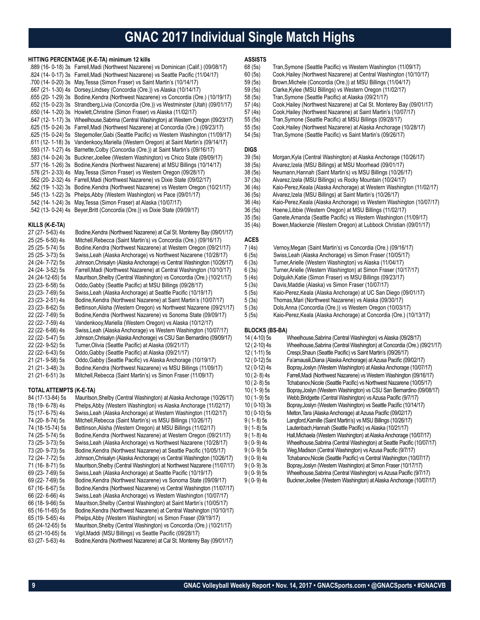### **GNAC 2017 Individual Single Match Highs**

#### **HITTING PERCENTAGE (K-E-TA) minimum 12 kills**

| .889 (16-0-18) 3s Farrell, Madi (Northwest Nazarene) vs Dominican (Calif.) (09/08/17)   |
|-----------------------------------------------------------------------------------------|
| .824 (14- 0-17) 3s Farrell, Madi (Northwest Nazarene) vs Seattle Pacific (11/04/17)     |
| .700 (14- 0-20) 3s May, Tessa (Simon Fraser) vs Saint Martin's (10/14/17)               |
| .667 (21- 1-30) 4s Dorsey, Lindsey (Concordia (Ore.)) vs Alaska (10/14/17)              |
| .655 (20- 1-29) 3s Bodine Kendra (Northwest Nazarene) vs Concordia (Ore.) (10/19/17)    |
| .652 (15-0-23) 3s Strandberg, Livia (Concordia (Ore.)) vs Westminster (Utah) (09/01/17) |
| .650 (11/02/17) 3s Howlett, Christine (Simon Fraser) vs Alaska (11/02/17)               |
| .647 (12-1-17) 3s Wheelhouse, Sabrina (Central Washington) at Western Oregon (09/23/17) |
| .625 (15- 0-24) 3s Farrell, Madi (Northwest Nazarene) at Concordia (Ore.) (09/23/17)    |
| .625 (15- 0-24) 5s Stegemoller, Gabi (Seattle Pacific) vs Western Washington (11/09/17) |
| .611 (12- 1-18) 3s Vandenkooy, Mariella (Western Oregon) at Saint Martin's (09/14/17)   |
| .593 (17-1-27) 4s Barnette, Colby (Concordia (Ore.)) at Saint Martin's (09/16/17)       |
| .583 (14- 0-24) 3s Buckner, Joellee (Western Washington) vs Chico State (09/09/17)      |
| .577 (16-1-26) 3s Bodine, Kendra (Northwest Nazarene) at MSU Billings (10/14/17)        |
| .576 (21-2-33) 4s May, Tessa (Simon Fraser) vs Western Oregon (09/28/17)                |
| .562 (20-2-32) 4s Farrell, Madi (Northwest Nazarene) vs Dixie State (09/02/17)          |
| .562 (19- 1-32) 3s Bodine, Kendra (Northwest Nazarene) vs Western Oregon (10/21/17)     |
| .545 (13- 1-22) 3s Phelps Abby (Western Washington) vs Pace (09/01/17)                  |
| .542 (14- 1-24) 3s May, Tessa (Simon Fraser) at Alaska (10/07/17)                       |
| .542 (13- 0-24) 4s Beyer, Britt (Concordia (Ore.)) vs Dixie State (09/09/17)            |

#### **KILLS (K-E-TA)**

| 27 (27-5-63) 4s  | Bodine, Kendra (Northwest Nazarene) at Cal St. Monterey Bay (09/01/17) |
|------------------|------------------------------------------------------------------------|
| 25 (25-6-50) 4s  | Mitchell, Rebecca (Saint Martin's) vs Concordia (Ore.) (09/16/17)      |
| 25 (25- 5-74) 5s | Bodine, Kendra (Northwest Nazarene) at Western Oregon (09/21/17)       |
| 25 (25-3-73) 5s  | Swiss, Leah (Alaska Anchorage) vs Northwest Nazarene (10/28/17)        |
| 24 (24- 7-72) 5s | Johnson, Chrisalyn (Alaska Anchorage) vs Central Washington (10/26/17) |
| 24 (24-3-52) 5s  | Farrell, Madi (Northwest Nazarene) at Central Washington (10/10/17)    |
| 24 (24-12-65) 5s | Mauritson, Shelby (Central Washington) vs Concordia (Ore.) (10/21/17)  |
| 23 (23-6-58) 5s  | Oddo, Gabby (Seattle Pacific) at MSU Billings (09/28/17)               |
| 23 (23-7-69) 5s  | Swiss, Leah (Alaska Anchorage) at Seattle Pacific (10/19/17)           |
| 23 (23-2-51) 4s  | Bodine, Kendra (Northwest Nazarene) at Saint Martin's (10/07/17)       |
| 23 (23-8-62) 5s  | Bettinson, Alisha (Western Oregon) vs Northwest Nazarene (09/21/17)    |
| 22 (22-7-69) 5s  | Bodine, Kendra (Northwest Nazarene) vs Sonoma State (09/09/17)         |
| 22 (22-7-59) 4s  | Vandenkooy, Mariella (Western Oregon) vs Alaska (10/12/17)             |
| 22 (22-6-66) 4s  | Swiss, Leah (Alaska Anchorage) vs Western Washington (10/07/17)        |
| 22 (22- 5-47) 5s | Johnson, Chrisalyn (Alaska Anchorage) vs CSU San Bernardino (09/09/17) |
| 22 (22- 9-52) 5s | Turner, Olivia (Seattle Pacific) at Alaska (09/21/17)                  |
| 22 (22-6-43) 5s  | Oddo, Gabby (Seattle Pacific) at Alaska (09/21/17)                     |
| 21 (21-9-58) 5s  | Oddo Gabby (Seattle Pacific) vs Alaska Anchorage (10/19/17)            |
| 21 (21-3-48) 3s  | Bodine, Kendra (Northwest Nazarene) vs MSU Billings (11/09/17)         |
| 21 (21-6-51) 3s  | Mitchell, Rebecca (Saint Martin's) vs Simon Fraser (11/09/17)          |

#### **TOTAL ATTEMPTS (K-E-TA)**

| 84 (17-13-84) 5s | Mauritson, Shelby (Central Washington) at Alaska Anchorage (10/26/17)   |
|------------------|-------------------------------------------------------------------------|
| 78 (19-6-78) 4s  | Phelps, Abby (Western Washington) vs Alaska Anchorage (11/02/17)        |
| 75 (17- 6-75) 4s | Swiss, Leah (Alaska Anchorage) at Western Washington (11/02/17)         |
| 74 (20-8-74) 5s  | Mitchell, Rebecca (Saint Martin's) vs MSU Billings (10/26/17)           |
| 74 (18-15-74) 5s | Bettinson, Alisha (Western Oregon) at MSU Billings (11/02/17)           |
| 74 (25- 5-74) 5s | Bodine, Kendra (Northwest Nazarene) at Western Oregon (09/21/17)        |
| 73 (25-3-73) 5s  | Swiss, Leah (Alaska Anchorage) vs Northwest Nazarene (10/28/17)         |
| 73 (20- 9-73) 5s | Bodine, Kendra (Northwest Nazarene) at Seattle Pacific (10/05/17)       |
| 72 (24- 7-72) 5s | Johnson, Chrisalyn (Alaska Anchorage) vs Central Washington (10/26/17)  |
| 71 (16-8-71) 5s  | Mauritson, Shelby (Central Washington) at Northwest Nazarene (11/07/17) |
| 69 (23-7-69) 5s  | Swiss, Leah (Alaska Anchorage) at Seattle Pacific (10/19/17)            |
| 69 (22-7-69) 5s  | Bodine, Kendra (Northwest Nazarene) vs Sonoma State (09/09/17)          |
| 67 (16- 6-67) 5s | Bodine, Kendra (Northwest Nazarene) vs Central Washington (11/07/17)    |
| 66 (22- 6-66) 4s | Swiss, Leah (Alaska Anchorage) vs Western Washington (10/07/17)         |
| 66 (18-9-66) 5s  | Mauritson, Shelby (Central Washington) at Saint Martin's (10/05/17)     |
| 65 (16-11-65) 5s | Bodine, Kendra (Northwest Nazarene) at Central Washington (10/10/17)    |
| 65 (19-5-65) 4s  | Phelps, Abby (Western Washington) vs Simon Fraser (09/19/17)            |
| 65 (24-12-65) 5s | Mauritson, Shelby (Central Washington) vs Concordia (Ore.) (10/21/17)   |
| 65 (21-10-65) 5s | Vigil, Maddi (MSU Billings) vs Seattle Pacific (09/28/17)               |
| 63 (27- 5-63) 4s | Bodine, Kendra (Northwest Nazarene) at Cal St. Monterey Bay (09/01/17)  |

#### **ASSISTS**

- 68 (5s) Tran, Symone (Seattle Pacific) vs Western Washington (11/09/17)<br>60 (5s) Cook, Hailey (Northwest Nazarene) at Central Washington (10/10/
	- Cook, Hailey (Northwest Nazarene) at Central Washington (10/10/17)
- 59 (5s) Brown, Michele (Concordia (Ore.)) at MSU Billings (11/04/17)<br>59 (5s) Clarke Kylee (MSU Billings) vs Western Oregon (11/02/17)
- Clarke, Kylee (MSU Billings) vs Western Oregon (11/02/17)
- 58 (5s) Tran,Symone (Seattle Pacific) at Alaska (09/21/17)
- 57 (4s) Cook, Hailey (Northwest Nazarene) at Cal St. Monterey Bay (09/01/17)<br>57 (4s) Cook, Hailey (Northwest Nazarene) at Saint Martin's (10/07/17)
- 57 (4s) Cook, Hailey (Northwest Nazarene) at Saint Martin's (10/07/17)<br>55 (5s) Tran, Symone (Seattle Pacific) at MSU Billings (09/28/17)
- 55 (5s) Tran, Symone (Seattle Pacific) at MSU Billings (09/28/17)<br>55 (5s) Cook, Hailey (Northwest Nazarene) at Alaska Anchorage
	- 55 (5s) Cook,Hailey (Northwest Nazarene) at Alaska Anchorage (10/28/17)
- 54 (5s) Tran,Symone (Seattle Pacific) vs Saint Martin's (09/26/17)

### **DIGS**<br>39 (5s)

- 39 (5s) Morgan,Kyla (Central Washington) at Alaska Anchorage (10/26/17)
- 38 (5s) Alvarez,Izela (MSU Billings) at MSU Moorhead (09/01/17)
- 38 (5s) Neumann,Hannah (Saint Martin's) vs MSU Billings (10/26/17)
- 37 (3s) Alvarez,Izela (MSU Billings) vs Rocky Mountain (10/24/17)
- 36 (4s) Kaio-Perez,Keala (Alaska Anchorage) at Western Washington (11/02/17)
- 36 (5s) Alvarez,Izela (MSU Billings) at Saint Martin's (10/26/17)
	- Kaio-Perez, Keala (Alaska Anchorage) vs Western Washington (10/07/17)
- 36 (5s) Hoene,Libbie (Western Oregon) at MSU Billings (11/02/17)
- 35 (5s) Ganete,Amanda (Seattle Pacific) vs Western Washington (11/09/17)
- 35 (4s) Bowen,Mackenzie (Western Oregon) at Lubbock Christian (09/01/17)

#### **ACES**

- 7 (4s) Vernoy,Megan (Saint Martin's) vs Concordia (Ore.) (09/16/17)
- 6 (5s) Swiss,Leah (Alaska Anchorage) vs Simon Fraser (10/05/17)
	- Turner,Arielle (Western Washington) vs Alaska (11/04/17)
- 6 (3s) Turner,Arielle (Western Washington) at Simon Fraser (10/17/17)
	- 5 (4s) Dolguikh,Katie (Simon Fraser) vs MSU Billings (09/23/17)
- 5 (3s) Davis,Maddie (Alaska) vs Simon Fraser (10/07/17)
- 5 (5s) Kaio-Perez,Keala (Alaska Anchorage) at UC San Diego (09/01/17)
- 5 (3s) Thomas,Mari (Northwest Nazarene) vs Alaska (09/30/17)
	-
- 5 (3s) Dols,Anna (Concordia (Ore.)) vs Western Oregon (10/03/17) 5 (5s) Kaio-Perez,Keala (Alaska Anchorage) at Concordia (Ore.) (10/13/17)

#### **BLOCKS (BS-BA)**

| 14 (4-10) 5s  | Wheelhouse, Sabrina (Central Washington) vs Alaska (09/28/17)           |
|---------------|-------------------------------------------------------------------------|
| 12 (2-10) 4s  | Wheelhouse, Sabrina (Central Washington) at Concordia (Ore.) (09/21/17) |
| 12 (1-11) 5s  | Crespi, Shaun (Seattle Pacific) vs Saint Martin's (09/26/17)            |
| 12 (0-12) 5s  | Fa'amausili, Diana (Alaska Anchorage) at Azusa Pacific (09/02/17)       |
| 12 (0-12) 4s  | Bopray, Joslyn (Western Washington) at Alaska Anchorage (10/07/17)      |
| $10(2-8)4s$   | Farrell, Madi (Northwest Nazarene) vs Western Washington (09/16/17)     |
| $10(2-8)5s$   | Tchabanov, Nicole (Seattle Pacific) vs Northwest Nazarene (10/05/17)    |
| $10(1-9)5s$   | Bopray, Joslyn (Western Washington) vs CSU San Bernardino (09/08/17)    |
| $10(1-9)5s$   | Webb, Bridgette (Central Washington) vs Azusa Pacific (9/7/17)          |
| $10(0-10)$ 3s | Bopray, Joslyn (Western Washington) vs Seattle Pacific (10/14/17)       |
| $10(0-10)5s$  | Melton, Tara (Alaska Anchorage) at Azusa Pacific (09/02/17)             |
| $9(1-8)5s$    | Langford, Kamille (Saint Martin's) vs MSU Billings (10/26/17)           |
| $9(1-8)5s$    | Lautenbach, Hannah (Seattle Pacific) vs Alaska (10/21/17)               |
| $9(1 - 8)$ 4s | Hall, Michaela (Westem Washington) at Alaska Anchorage (10/07/17)       |
| $9(0-9)$ 4s   | Wheelhouse, Sabrina (Central Washington) at Seattle Pacific (10/07/17)  |
| $9(0-9)5s$    | Weg Madison (Central Washington) vs Azusa Pacific (9/7/17)              |
| $9(0-9)$ 4s   | Tchabanov, Nicole (Seattle Pacific) vs Central Washington (10/07/17)    |
| $9(0-9)3s$    | Bopray, Joslyn (Western Washington) at Simon Fraser (10/17/17)          |
| $9(0-9)5s$    | Wheelhouse, Sabrina (Central Washington) vs Azusa Pacific (9/7/17)      |
| $9(0-9)$ 4s   | Buckner, Joellee (Western Washington) at Alaska Anchorage (10/07/17)    |